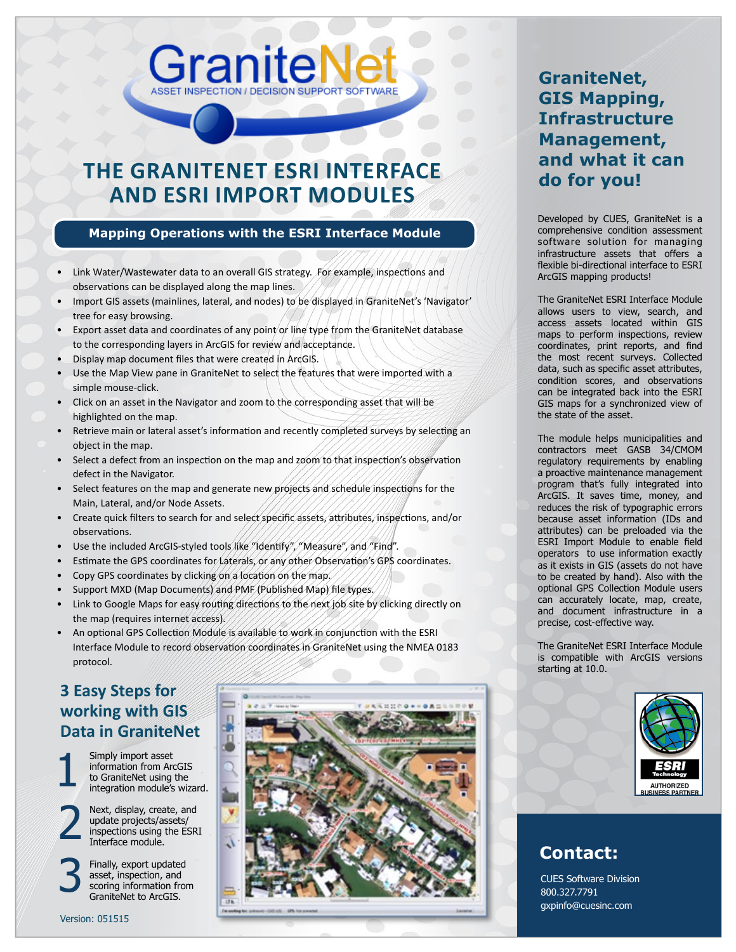# **THE GraniteNet ESRI INTERFACE AND ESRI IMPORT MODULES**

GraniteN

#### **Mapping Operations with the ESRI Interface Module**

- Link Water/Wastewater data to an overall GIS strategy. For example, inspections and observations can be displayed along the map lines.
- Import GIS assets (mainlines, lateral, and nodes) to be displayed in GraniteNet's 'Navigator' tree for easy browsing.
- Export asset data and coordinates of any point or line type from the GraniteNet database to the corresponding layers in ArcGIS for review and acceptance.
- Display map document files that were created in ArcGIS.
- Use the Map View pane in GraniteNet to select the features that were imported with a simple mouse-click.
- Click on an asset in the Navigator and zoom to the corresponding asset that will be highlighted on the map.
- Retrieve main or lateral asset's information and recently completed surveys by selecting an object in the map.
- Select a defect from an inspection on the map and zoom to that inspection's observation defect in the Navigator.
- Select features on the map and generate new projects and schedule inspections for the Main, Lateral, and/or Node Assets.
- Create quick filters to search for and select specific assets, attributes, inspections, and/or observations.
- Use the included ArcGIS-styled tools like "Identify", "Measure", and "Find".
- Estimate the GPS coordinates for Laterals, or any other Observation's GPS coordinates.
- Copy GPS coordinates by clicking on a location on the map.
- Support MXD (Map Documents) and PMF (Published Map) file types.
- Link to Google Maps for easy routing directions to the next job site by clicking directly on the map (requires internet access).
- An optional GPS Collection Module is available to work in conjunction with the ESRI Interface Module to record observation coordinates in GraniteNet using the NMEA 0183 protocol.

### **3 Easy Steps for working with GIS Data in GraniteNet**

Simply import asset information from ArcGIS to GraniteNet using the integration module's wizard. Next, display, create, and update projects/assets/ inspections using the ESRI Interface module.

Finally, export updated asset, inspection, and scoring information from GraniteNet to ArcGIS.



### **GraniteNet, GIS Mapping, Infrastructure Management, and what it can do for you!**

Developed by CUES, GraniteNet is a comprehensive condition assessment software solution for managing infrastructure assets that offers a flexible bi-directional interface to ESRI ArcGIS mapping products!

The GraniteNet ESRI Interface Module allows users to view, search, and access assets located within GIS maps to perform inspections, review coordinates, print reports, and find the most recent surveys. Collected data, such as specific asset attributes, condition scores, and observations can be integrated back into the ESRI GIS maps for a synchronized view of the state of the asset.

The module helps municipalities and contractors meet GASB 34/CMOM regulatory requirements by enabling a proactive maintenance management program that's fully integrated into ArcGIS. It saves time, money, and reduces the risk of typographic errors because asset information (IDs and attributes) can be preloaded via the ESRI Import Module to enable field operators to use information exactly as it exists in GIS (assets do not have to be created by hand). Also with the optional GPS Collection Module users can accurately locate, map, create, and document infrastructure in a precise, cost-effective way.

The GraniteNet ESRI Interface Module is compatible with ArcGIS versions starting at 10.0.



### **Contact:**

CUES Software Division 800.327.7791 gxpinfo@cuesinc.com

1

2

3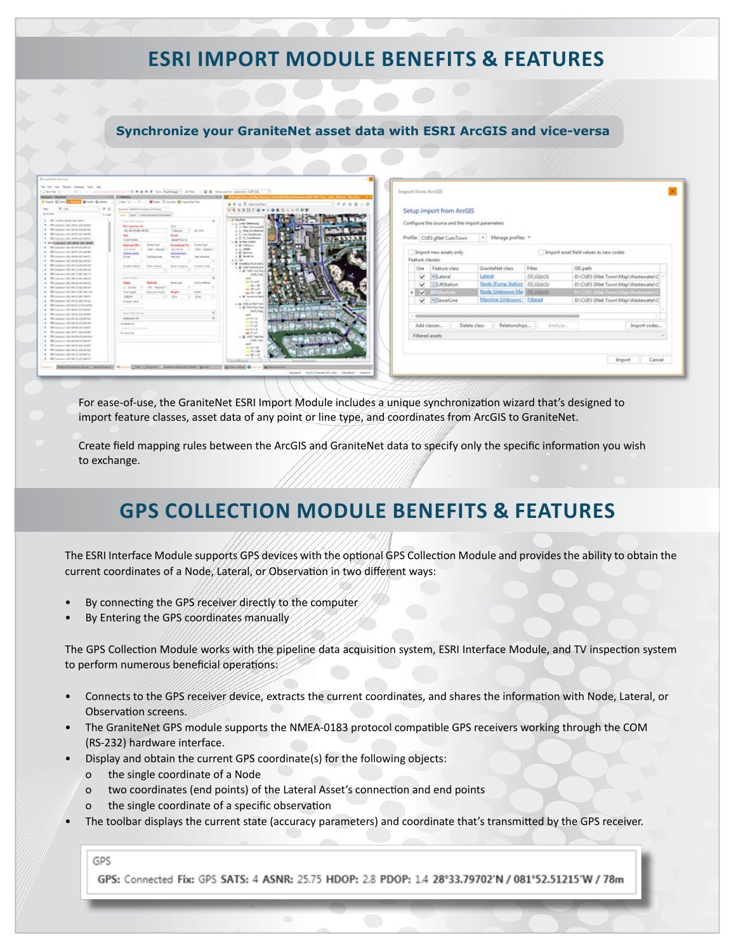### **ESRI Import module Benefits & Features**

#### **Synchronize your GraniteNet asset data with ESRI ArcGIS and vice-versa**

| <b>Rodgeter: Mulderer</b><br>I han Dies Charles & Lots & Lines               | THE COMMAN<br>Union 12 - 2 - Milway Editories @ Insection for                                                                          | $+$ $+$ $0$<br>$-7779999$<br><b>B</b> <i>D</i> di <i>T</i> clearly films |                                                |                               |             |                                        |
|------------------------------------------------------------------------------|----------------------------------------------------------------------------------------------------------------------------------------|--------------------------------------------------------------------------|------------------------------------------------|-------------------------------|-------------|----------------------------------------|
| $T = 0$                                                                      | 1. W. St. Sandark Perfect Street of Street                                                                                             |                                                                          |                                                |                               |             |                                        |
| Gustavina<br>11, tour                                                        | Aust., State Commission Australian                                                                                                     | <b>PARTHONSON</b>                                                        | Setup import from ArcGIS                       |                               |             |                                        |
|                                                                              |                                                                                                                                        | C. All Clay Balley                                                       |                                                |                               |             |                                        |
| 2 TR techniques can user:<br>9 B Linkeley AG MHS AS MHS                      | <b>Associated</b>                                                                                                                      | L. L. Line Metroleg                                                      | Configure the source and the import parameters |                               |             |                                        |
| . Oh Lylamon (40, 44-62 40) AP 67                                            | Plan anymout call:                                                                                                                     | at 111-May Manufacturer                                                  |                                                |                               |             |                                        |
| # 15 Colection W1 AR Chuttli ameth                                           | Column 1- of the<br>ARLAN-DV-MC-MA DA                                                                                                  | a U disciplidades<br>at 13 lot. Distributes                              |                                                |                               |             |                                        |
| 8 Blocketon WL MAIN AND ANCH                                                 | w<br><b>Street</b>                                                                                                                     | 6 D.S. Conflictor                                                        | Profile: CUES gNet CuesTown                    | * Manage profiles *           |             |                                        |
| A which collective best weeks and severe                                     | <b>VURS ROWN</b><br>MARTIN A                                                                                                           | u. M. Services Suitern                                                   |                                                |                               |             |                                        |
| # Blowne Wi-4FO-4501                                                         | Arizon bank<br><b><i><u>Britannich</u></i></b><br><b>September 10</b><br><b>Sedrage Mil.</b>                                           | U. W. Informer                                                           |                                                |                               |             |                                        |
| 4 Bill Columbia (40) AR427-400 AR480                                         | Ally lobals<br>Altrick Charles<br><b>WELL-MAYOR</b><br><b>John Hartun</b><br><b><i><u>Institution</u></i></b><br><b>Manager Street</b> | a p user<br>or M. Markow                                                 | Import new assets only                         |                               |             | Import asset field values as new codes |
| B Blickwhor WI MAIN AND MAIL                                                 | Ourser<br><b>Service</b><br>Team remember<br>Decision area.                                                                            | C.R. Smelling                                                            |                                                |                               |             |                                        |
| 4 TR Linkbox 302-44-03-43-02                                                 |                                                                                                                                        | $n \n  4$                                                                | Feature classes:                               |                               |             |                                        |
| # Blowny W.McGriftel                                                         | Laurence debatu<br>The fact or interested<br>Senat-singers<br><b>Experience contact</b>                                                | : If Condition Associates                                                |                                                |                               |             |                                        |
| 4 95 Greens WLM (p Ab 44 (5)                                                 |                                                                                                                                        | L & OAS famula lo<br>at M class hours                                    | Use<br>Feature class                           | GraniteNet class              | Filter      | GIS path                               |
| B. Birthdamin Mit Abrill 80, 681.61                                          |                                                                                                                                        | OD, Text                                                                 | $\vee$<br>~Lateral                             | Lateral                       | All objects | D.\CUES GNet Town\Map\\Wastewater\C    |
| . Whitehaviors left heroically service                                       | <b>Sales Electric</b>                                                                                                                  | mil-                                                                     |                                                |                               |             |                                        |
| at 199 Lampings will deviat with him (3)                                     | <b>Living method</b><br><b>Program</b><br><b>Constitution</b>                                                                          | <b>Random</b><br>$-0.25 - 56$                                            | <b>S-LitrStation</b><br>v.                     | Node (Pump Station)           | All objects | D.\CUES GNet Town\Map\Wastewater\C     |
| 0 Bl Calactor (40, 44-15-45) 44-14                                           | 5 Emale                                                                                                                                | and Children                                                             |                                                |                               |             |                                        |
| B . Bill Columbia 360-AB/CLARS AB/LTM                                        | Total angels<br>Poweright America                                                                                                      | $-15 - 30$                                                               | <b>N.W. Witerhold</b>                          | Node (Unknown May)            | All objects | D.\CUES GNet Town\Map\Wastewater\      |
| # BR Latarium AH, MrCA MS MrCF                                               | $T = 114$<br>2014<br>124                                                                                                               | or M. Seventon Red E.                                                    |                                                | Mainline (Unknown," Filtered  |             |                                        |
| 4 TR Granul AL M-DI 40-14 14-24                                              | Freezer's railrate                                                                                                                     | to M. ONE or NACP April                                                  | V ~SeverLine                                   |                               |             | DI\CUES GNet Town\Map\Wastewater\C     |
| B Bill Collection (MC Ad (Columbia) and (C)<br>. Bldgame aid sedi and and it |                                                                                                                                        | C. B. Hill Fox Fax                                                       |                                                |                               |             |                                        |
|                                                                              | Bonder Taylor (Minimum                                                                                                                 | <b>BICK/NA</b>                                                           |                                                |                               |             |                                        |
| # Bluncher are seen an area<br>a Bi Laberton Mill Afrika Ald Afrika          | Additional USA                                                                                                                         | m/l<br>$-1-1$                                                            |                                                |                               |             |                                        |
| 0 Blinkin Wildelbarg                                                         | <b>Incentive Len</b>                                                                                                                   | $\frac{1}{2}$ and $\frac{1}{2}$ and $\frac{1}{2}$                        |                                                |                               |             |                                        |
| 2 Bill Culochiat (all) Medit all) AP67                                       | <b>SHEERLY GUILEY AN</b>                                                                                                               | $-4$ at                                                                  | Add classes                                    | Delete class<br>Relationships | Analyze.    | Import codes                           |
| # Winterer as self as seat                                                   | <b>Bongstein</b>                                                                                                                       | and Grant<br><b>Carl France</b>                                          |                                                |                               |             |                                        |
| * IN Columns (40) APOS ASSAULT                                               |                                                                                                                                        | L. R. GO. Text Red.                                                      | Filtered assets                                |                               |             |                                        |
| # Blinks With Start                                                          |                                                                                                                                        | <b>Clash</b>                                                             |                                                |                               |             |                                        |
| 24. All Calculus and Abrill AV Abett                                         |                                                                                                                                        | m <sup>3</sup>                                                           |                                                |                               |             |                                        |
| * IR Linkery AID M-LL AGLANDE                                                |                                                                                                                                        | mentionals.<br><b>COLLAR</b>                                             |                                                |                               |             |                                        |
| # BS Coleman MEAN-LOADLAND                                                   |                                                                                                                                        | $-0.11$                                                                  |                                                |                               |             |                                        |
| 4 Bl Linker W14415414404                                                     |                                                                                                                                        |                                                                          |                                                |                               |             | Cancel<br>Import                       |

For ease-of-use, the GraniteNet ESRI Import Module includes a unique synchronization wizard that's designed to import feature classes, asset data of any point or line type, and coordinates from ArcGIS to GraniteNet.

Create field mapping rules between the ArcGIS and GraniteNet data to specify only the specific information you wish to exchange.

# **GPS Collection Module Benefits & Features**

The ESRI Interface Module supports GPS devices with the optional GPS Collection Module and provides the ability to obtain the current coordinates of a Node, Lateral, or Observation in two different ways:

- By connecting the GPS receiver directly to the computer
- By Entering the GPS coordinates manually

The GPS Collection Module works with the pipeline data acquisition system, ESRI Interface Module, and TV inspection system to perform numerous beneficial operations:

- Connects to the GPS receiver device, extracts the current coordinates, and shares the information with Node, Lateral, or Observation screens.
- The GraniteNet GPS module supports the NMEA-0183 protocol compatible GPS receivers working through the COM (RS-232) hardware interface.
- Display and obtain the current GPS coordinate(s) for the following objects:
	- o the single coordinate of a Node
	- o two coordinates (end points) of the Lateral Asset's connection and end points
	- o the single coordinate of a specific observation
- The toolbar displays the current state (accuracy parameters) and coordinate that's transmitted by the GPS receiver.

GPS

GPS: Connected Fix: GPS SATS: 4 ASNR: 25.75 HDOP: 2.8 PDOP: 1.4 28°33.79702'N / 081°52.51215'W / 78m